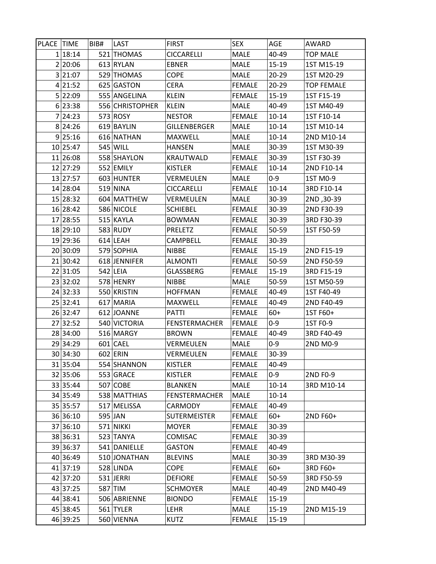| PLACE TIME |                      | BIB# | LAST                   | <b>FIRST</b>                      | SEX                          | AGE            | AWARD                    |
|------------|----------------------|------|------------------------|-----------------------------------|------------------------------|----------------|--------------------------|
|            | 1 18:14              |      | 521 THOMAS             | <b>CICCARELLI</b>                 | <b>MALE</b>                  | 40-49          | <b>TOP MALE</b>          |
|            | 2 20:06              |      | 613 RYLAN              | <b>EBNER</b>                      | <b>MALE</b>                  | $15 - 19$      | 1ST M15-19               |
|            | 3 21:07              |      | 529 THOMAS             | <b>COPE</b>                       | MALE                         | $20 - 29$      | 1ST M20-29               |
|            | 4 21:52              |      | 625 GASTON             | CERA                              | <b>FEMALE</b>                | $20 - 29$      | <b>TOP FEMALE</b>        |
|            | 5 22:09              |      | 555 ANGELINA           | <b>KLEIN</b>                      | <b>FEMALE</b>                | 15-19          | 1ST F15-19               |
|            | 6 23:38              |      | 556 CHRISTOPHER        | <b>KLEIN</b>                      | MALE                         | 40-49          | 1ST M40-49               |
|            | 7 24:23              |      | 573 ROSY               | <b>NESTOR</b>                     | <b>FEMALE</b>                | $10 - 14$      | 1ST F10-14               |
|            | 8 24:26              |      | 619 BAYLIN             | GILLENBERGER                      | <b>MALE</b>                  | $10 - 14$      | 1ST M10-14               |
|            | 9 25:16              |      | 616 NATHAN             | MAXWELL                           | <b>MALE</b>                  | $10 - 14$      | 2ND M10-14               |
|            | 10 25:47             |      | 545 WILL               | <b>HANSEN</b>                     | <b>MALE</b>                  | 30-39          | 1ST M30-39               |
|            | 11 26:08             |      | 558 SHAYLON            | KRAUTWALD                         | <b>FEMALE</b>                | 30-39          | 1ST F30-39               |
|            | 12 27:29             |      | 552 EMILY              | <b>KISTLER</b>                    | <b>FEMALE</b>                | $10 - 14$      | 2ND F10-14               |
|            | 13 27:57             |      | 603 HUNTER             | VERMEULEN                         | <b>MALE</b>                  | $0 - 9$        | 1ST M0-9                 |
|            | 14 28:04             |      | 519 NINA               | <b>CICCARELLI</b>                 | <b>FEMALE</b>                | $10 - 14$      | 3RD F10-14               |
|            | 15 28:32             |      | 604 MATTHEW            | VERMEULEN                         | <b>MALE</b>                  | 30-39          | 2ND, 30-39               |
|            | 16 28:42             |      | 586 NICOLE             | <b>SCHIEBEL</b>                   | <b>FEMALE</b>                | 30-39          | 2ND F30-39               |
|            | 17 28:55             |      | 515 KAYLA              | <b>BOWMAN</b>                     | <b>FEMALE</b>                | 30-39          | 3RD F30-39               |
|            | 18 29:10             |      | 583 RUDY               | <b>PRELETZ</b>                    | <b>FEMALE</b>                | 50-59          | 1ST F50-59               |
|            | 19 29:36             |      | $614$ LEAH             | CAMPBELL                          | <b>FEMALE</b>                | 30-39          |                          |
|            | 20 30:09             |      | 579 SOPHIA             | <b>NIBBE</b>                      | <b>FEMALE</b>                | $15-19$        | 2ND F15-19               |
|            | 21 30:42             |      | 618 JENNIFER           | ALMONTI                           | <b>FEMALE</b>                | 50-59          | 2ND F50-59               |
|            | 22 31:05             |      | $542$ LEIA             | GLASSBERG                         | <b>FEMALE</b>                | $15-19$        | 3RD F15-19               |
|            | 23 32:02             |      | 578 HENRY              | NIBBE                             | MALE                         | 50-59          | 1ST M50-59               |
|            | 24 32:33             |      | 550 KRISTIN            | <b>HOFFMAN</b>                    | <b>FEMALE</b>                | 40-49          | 1ST F40-49               |
|            | 25 32:41             |      | 617 MARIA              | MAXWELL                           | <b>FEMALE</b>                | 40-49          | 2ND F40-49               |
|            | 26 32:47             |      | 612 JOANNE             | PATTI                             | <b>FEMALE</b>                | $60+$          | 1ST F60+                 |
|            | 27 32:52             |      | 540 VICTORIA           | <b>FENSTERMACHER</b>              | <b>FEMALE</b>                | $0 - 9$        | 1ST F0-9                 |
|            | 28 34:00             |      | 516 MARGY              | <b>BROWN</b>                      | <b>FEMALE</b>                | 40-49          | 3RD F40-49               |
|            | 29 34:29             |      | $601$ CAEL             | VERMEULEN                         | <b>MALE</b>                  | $0 - 9$        | 2ND M0-9                 |
|            | 30 34:30             |      | 602 ERIN               | VERMEULEN                         | <b>FEMALE</b>                | 30-39          |                          |
|            | 31 35:04             |      | 554 SHANNON            | <b>KISTLER</b>                    | <b>FEMALE</b>                | 40-49          |                          |
|            | 32 35:06             |      | 553 GRACE              | <b>KISTLER</b>                    | <b>FEMALE</b>                | $0 - 9$        | 2ND F0-9                 |
|            | 33 35:44             |      | 507 COBE               | <b>BLANKEN</b>                    | <b>MALE</b>                  | $10 - 14$      | 3RD M10-14               |
|            | 34 35:49             |      | 538 MATTHIAS           | <b>FENSTERMACHER</b>              | <b>MALE</b>                  | $10 - 14$      |                          |
|            | 35 35:57             |      | 517 MELISSA            | CARMODY                           | <b>FEMALE</b>                | 40-49          |                          |
|            | 36 36:10             |      | 595 JAN                | SUTERMEISTER                      | <b>FEMALE</b>                | $60+$          | 2ND F60+                 |
|            | 37 36:10             |      | 571 NIKKI              | <b>MOYER</b>                      | <b>FEMALE</b>                | 30-39          |                          |
|            | 38 36:31             |      | 523 TANYA              | COMISAC                           | <b>FEMALE</b>                | 30-39          |                          |
|            | 39 36:37             |      | 541 DANIELLE           | GASTON                            | <b>FEMALE</b>                | 40-49          |                          |
|            | 40 36:49             |      | 510 JONATHAN           | <b>BLEVINS</b>                    | <b>MALE</b>                  | 30-39          | 3RD M30-39               |
|            | 41 37:19             |      | 528 LINDA<br>531 JERRI | <b>COPE</b>                       | <b>FEMALE</b>                | $60+$          | 3RD F60+                 |
|            | 42 37:20<br>43 37:25 |      | 587 TIM                | <b>DEFIORE</b><br><b>SCHMOYER</b> | <b>FEMALE</b><br><b>MALE</b> | 50-59<br>40-49 | 3RD F50-59<br>2ND M40-49 |
|            | 44 38:41             |      | 506 ABRIENNE           | <b>BIONDO</b>                     | <b>FEMALE</b>                | $15-19$        |                          |
|            |                      |      |                        |                                   |                              |                |                          |
|            | 45 38:45             |      | 561 TYLER              | LEHR                              | <b>MALE</b>                  | 15-19          | 2ND M15-19               |
|            | 46 39:25             |      | 560 VIENNA             | <b>KUTZ</b>                       | <b>FEMALE</b>                | 15-19          |                          |